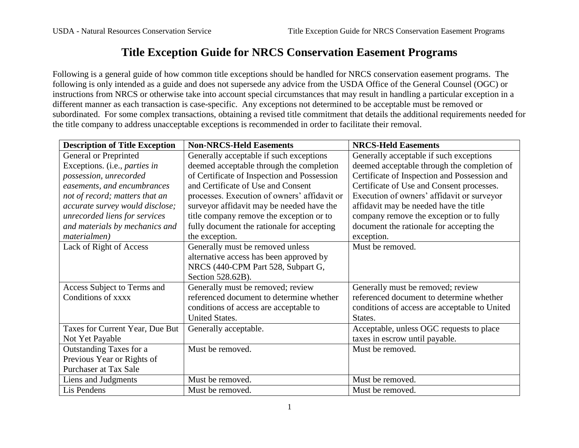## **Title Exception Guide for NRCS Conservation Easement Programs**

Following is a general guide of how common title exceptions should be handled for NRCS conservation easement programs. The following is only intended as a guide and does not supersede any advice from the USDA Office of the General Counsel (OGC) or instructions from NRCS or otherwise take into account special circumstances that may result in handling a particular exception in a different manner as each transaction is case-specific. Any exceptions not determined to be acceptable must be removed or subordinated. For some complex transactions, obtaining a revised title commitment that details the additional requirements needed for the title company to address unacceptable exceptions is recommended in order to facilitate their removal.

| <b>Description of Title Exception</b> | <b>Non-NRCS-Held Easements</b>               | <b>NRCS-Held Easements</b>                    |
|---------------------------------------|----------------------------------------------|-----------------------------------------------|
| <b>General or Preprinted</b>          | Generally acceptable if such exceptions      | Generally acceptable if such exceptions       |
| Exceptions. (i.e., parties in         | deemed acceptable through the completion     | deemed acceptable through the completion of   |
| possession, unrecorded                | of Certificate of Inspection and Possession  | Certificate of Inspection and Possession and  |
| easements, and encumbrances           | and Certificate of Use and Consent           | Certificate of Use and Consent processes.     |
| not of record; matters that an        | processes. Execution of owners' affidavit or | Execution of owners' affidavit or surveyor    |
| accurate survey would disclose;       | surveyor affidavit may be needed have the    | affidavit may be needed have the title        |
| unrecorded liens for services         | title company remove the exception or to     | company remove the exception or to fully      |
| and materials by mechanics and        | fully document the rationale for accepting   | document the rationale for accepting the      |
| materialmen)                          | the exception.                               | exception.                                    |
| Lack of Right of Access               | Generally must be removed unless             | Must be removed.                              |
|                                       | alternative access has been approved by      |                                               |
|                                       | NRCS (440-CPM Part 528, Subpart G,           |                                               |
|                                       | Section 528.62B).                            |                                               |
| Access Subject to Terms and           | Generally must be removed; review            | Generally must be removed; review             |
| Conditions of xxxx                    | referenced document to determine whether     | referenced document to determine whether      |
|                                       | conditions of access are acceptable to       | conditions of access are acceptable to United |
|                                       | <b>United States.</b>                        | States.                                       |
| Taxes for Current Year, Due But       | Generally acceptable.                        | Acceptable, unless OGC requests to place      |
| Not Yet Payable                       |                                              | taxes in escrow until payable.                |
| Outstanding Taxes for a               | Must be removed.                             | Must be removed.                              |
| Previous Year or Rights of            |                                              |                                               |
| Purchaser at Tax Sale                 |                                              |                                               |
| Liens and Judgments                   | Must be removed.                             | Must be removed.                              |
| Lis Pendens                           | Must be removed.                             | Must be removed.                              |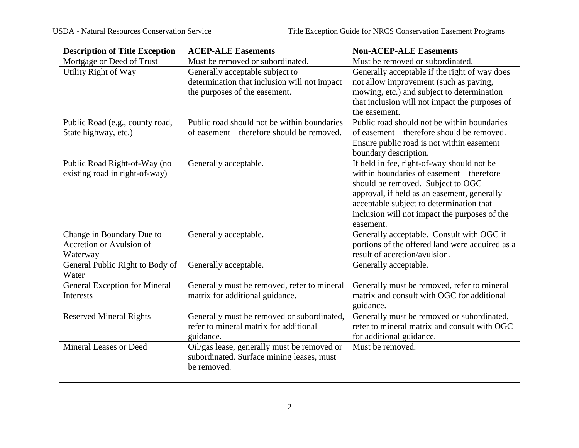| <b>Description of Title Exception</b> | <b>ACEP-ALE Easements</b>                    | <b>Non-ACEP-ALE Easements</b>                   |
|---------------------------------------|----------------------------------------------|-------------------------------------------------|
| Mortgage or Deed of Trust             | Must be removed or subordinated.             | Must be removed or subordinated.                |
| Utility Right of Way                  | Generally acceptable subject to              | Generally acceptable if the right of way does   |
|                                       | determination that inclusion will not impact | not allow improvement (such as paving,          |
|                                       | the purposes of the easement.                | mowing, etc.) and subject to determination      |
|                                       |                                              | that inclusion will not impact the purposes of  |
|                                       |                                              | the easement.                                   |
| Public Road (e.g., county road,       | Public road should not be within boundaries  | Public road should not be within boundaries     |
| State highway, etc.)                  | of easement – therefore should be removed.   | of easement – therefore should be removed.      |
|                                       |                                              | Ensure public road is not within easement       |
|                                       |                                              | boundary description.                           |
| Public Road Right-of-Way (no          | Generally acceptable.                        | If held in fee, right-of-way should not be      |
| existing road in right-of-way)        |                                              | within boundaries of easement – therefore       |
|                                       |                                              | should be removed. Subject to OGC               |
|                                       |                                              | approval, if held as an easement, generally     |
|                                       |                                              | acceptable subject to determination that        |
|                                       |                                              | inclusion will not impact the purposes of the   |
|                                       |                                              | easement.                                       |
| Change in Boundary Due to             | Generally acceptable.                        | Generally acceptable. Consult with OGC if       |
| Accretion or Avulsion of              |                                              | portions of the offered land were acquired as a |
| Waterway                              |                                              | result of accretion/avulsion.                   |
| General Public Right to Body of       | Generally acceptable.                        | Generally acceptable.                           |
| Water                                 |                                              |                                                 |
| <b>General Exception for Mineral</b>  | Generally must be removed, refer to mineral  | Generally must be removed, refer to mineral     |
| Interests                             | matrix for additional guidance.              | matrix and consult with OGC for additional      |
|                                       |                                              | guidance.                                       |
| <b>Reserved Mineral Rights</b>        | Generally must be removed or subordinated,   | Generally must be removed or subordinated,      |
|                                       | refer to mineral matrix for additional       | refer to mineral matrix and consult with OGC    |
|                                       | guidance.                                    | for additional guidance.                        |
| <b>Mineral Leases or Deed</b>         | Oil/gas lease, generally must be removed or  | Must be removed.                                |
|                                       | subordinated. Surface mining leases, must    |                                                 |
|                                       | be removed.                                  |                                                 |
|                                       |                                              |                                                 |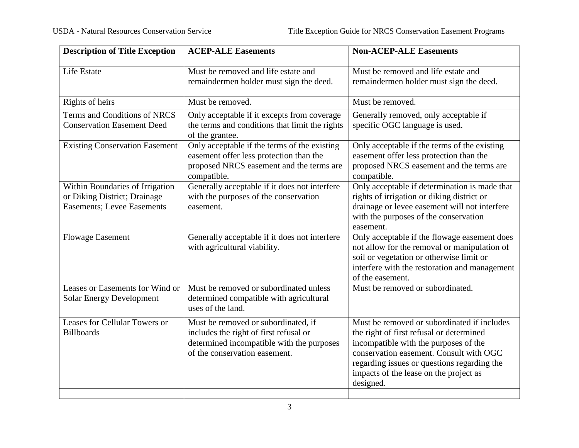| <b>Description of Title Exception</b>                                                                 | <b>ACEP-ALE Easements</b>                                                                                                                                   | <b>Non-ACEP-ALE Easements</b>                                                                                                                                                                                                                                                     |
|-------------------------------------------------------------------------------------------------------|-------------------------------------------------------------------------------------------------------------------------------------------------------------|-----------------------------------------------------------------------------------------------------------------------------------------------------------------------------------------------------------------------------------------------------------------------------------|
| Life Estate                                                                                           | Must be removed and life estate and<br>remaindermen holder must sign the deed.                                                                              | Must be removed and life estate and<br>remaindermen holder must sign the deed.                                                                                                                                                                                                    |
| Rights of heirs                                                                                       | Must be removed.                                                                                                                                            | Must be removed.                                                                                                                                                                                                                                                                  |
| Terms and Conditions of NRCS<br><b>Conservation Easement Deed</b>                                     | Only acceptable if it excepts from coverage<br>the terms and conditions that limit the rights<br>of the grantee.                                            | Generally removed, only acceptable if<br>specific OGC language is used.                                                                                                                                                                                                           |
| <b>Existing Conservation Easement</b>                                                                 | Only acceptable if the terms of the existing<br>easement offer less protection than the<br>proposed NRCS easement and the terms are<br>compatible.          | Only acceptable if the terms of the existing<br>easement offer less protection than the<br>proposed NRCS easement and the terms are<br>compatible.                                                                                                                                |
| Within Boundaries of Irrigation<br>or Diking District; Drainage<br><b>Easements</b> ; Levee Easements | Generally acceptable if it does not interfere<br>with the purposes of the conservation<br>easement.                                                         | Only acceptable if determination is made that<br>rights of irrigation or diking district or<br>drainage or levee easement will not interfere<br>with the purposes of the conservation<br>easement.                                                                                |
| <b>Flowage Easement</b>                                                                               | Generally acceptable if it does not interfere<br>with agricultural viability.                                                                               | Only acceptable if the flowage easement does<br>not allow for the removal or manipulation of<br>soil or vegetation or otherwise limit or<br>interfere with the restoration and management<br>of the easement.                                                                     |
| Leases or Easements for Wind or<br><b>Solar Energy Development</b>                                    | Must be removed or subordinated unless<br>determined compatible with agricultural<br>uses of the land.                                                      | Must be removed or subordinated.                                                                                                                                                                                                                                                  |
| Leases for Cellular Towers or<br><b>Billboards</b>                                                    | Must be removed or subordinated, if<br>includes the right of first refusal or<br>determined incompatible with the purposes<br>of the conservation easement. | Must be removed or subordinated if includes<br>the right of first refusal or determined<br>incompatible with the purposes of the<br>conservation easement. Consult with OGC<br>regarding issues or questions regarding the<br>impacts of the lease on the project as<br>designed. |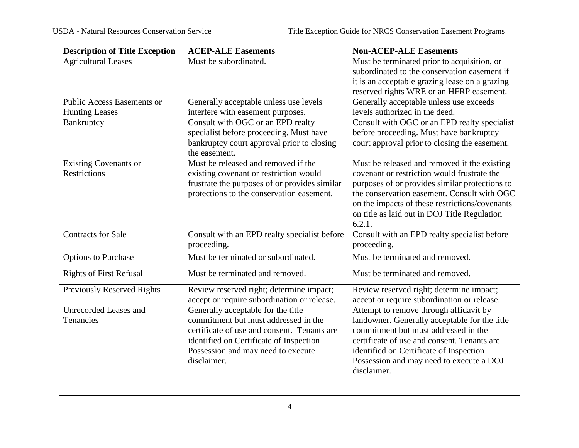| <b>Description of Title Exception</b> | <b>ACEP-ALE Easements</b>                     | <b>Non-ACEP-ALE Easements</b>                  |
|---------------------------------------|-----------------------------------------------|------------------------------------------------|
| <b>Agricultural Leases</b>            | Must be subordinated.                         | Must be terminated prior to acquisition, or    |
|                                       |                                               | subordinated to the conservation easement if   |
|                                       |                                               | it is an acceptable grazing lease on a grazing |
|                                       |                                               | reserved rights WRE or an HFRP easement.       |
| <b>Public Access Easements or</b>     | Generally acceptable unless use levels        | Generally acceptable unless use exceeds        |
| <b>Hunting Leases</b>                 | interfere with easement purposes.             | levels authorized in the deed.                 |
| Bankruptcy                            | Consult with OGC or an EPD realty             | Consult with OGC or an EPD realty specialist   |
|                                       | specialist before proceeding. Must have       | before proceeding. Must have bankruptcy        |
|                                       | bankruptcy court approval prior to closing    | court approval prior to closing the easement.  |
|                                       | the easement.                                 |                                                |
| <b>Existing Covenants or</b>          | Must be released and removed if the           | Must be released and removed if the existing   |
| <b>Restrictions</b>                   | existing covenant or restriction would        | covenant or restriction would frustrate the    |
|                                       | frustrate the purposes of or provides similar | purposes of or provides similar protections to |
|                                       | protections to the conservation easement.     | the conservation easement. Consult with OGC    |
|                                       |                                               | on the impacts of these restrictions/covenants |
|                                       |                                               | on title as laid out in DOJ Title Regulation   |
|                                       |                                               | 6.2.1.                                         |
| <b>Contracts for Sale</b>             | Consult with an EPD realty specialist before  | Consult with an EPD realty specialist before   |
|                                       | proceeding.                                   | proceeding.                                    |
| <b>Options to Purchase</b>            | Must be terminated or subordinated.           | Must be terminated and removed.                |
| <b>Rights of First Refusal</b>        | Must be terminated and removed.               | Must be terminated and removed.                |
| <b>Previously Reserved Rights</b>     | Review reserved right; determine impact;      | Review reserved right; determine impact;       |
|                                       | accept or require subordination or release.   | accept or require subordination or release.    |
| <b>Unrecorded Leases and</b>          | Generally acceptable for the title            | Attempt to remove through affidavit by         |
| Tenancies                             | commitment but must addressed in the          | landowner. Generally acceptable for the title  |
|                                       | certificate of use and consent. Tenants are   | commitment but must addressed in the           |
|                                       | identified on Certificate of Inspection       | certificate of use and consent. Tenants are    |
|                                       | Possession and may need to execute            | identified on Certificate of Inspection        |
|                                       | disclaimer.                                   | Possession and may need to execute a DOJ       |
|                                       |                                               | disclaimer.                                    |
|                                       |                                               |                                                |
|                                       |                                               |                                                |